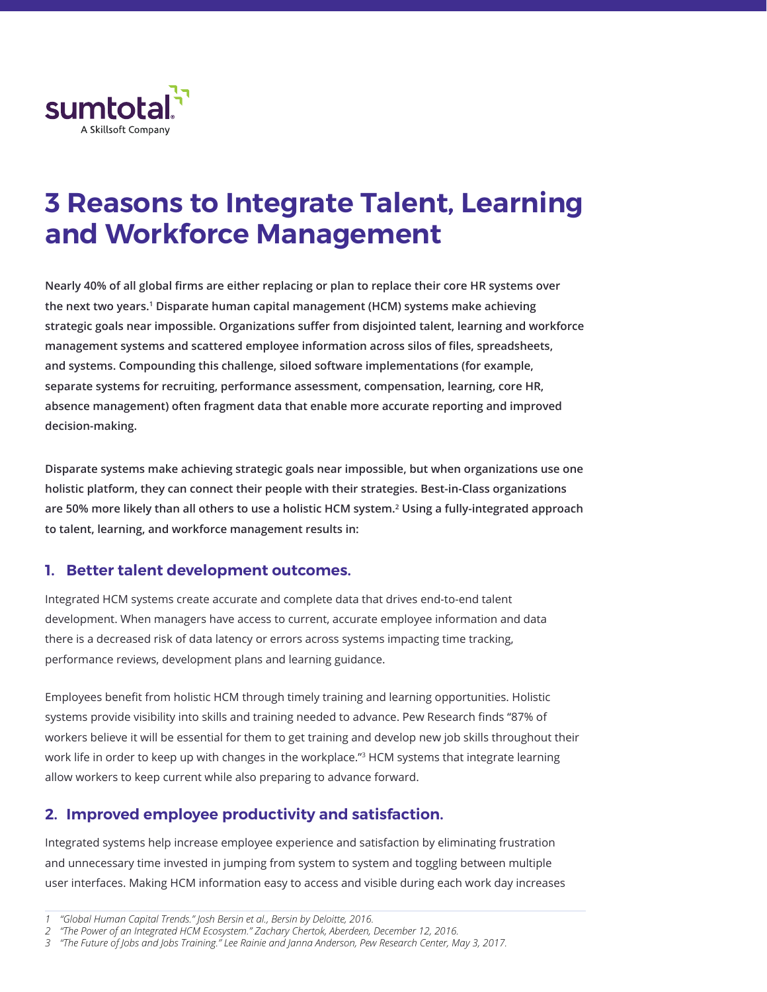

## **3 Reasons to Integrate Talent, Learning and Workforce Management**

**Nearly 40% of all global firms are either replacing or plan to replace their core HR systems over the next two years.1 Disparate human capital management (HCM) systems make achieving strategic goals near impossible. Organizations suffer from disjointed talent, learning and workforce management systems and scattered employee information across silos of files, spreadsheets, and systems. Compounding this challenge, siloed software implementations (for example, separate systems for recruiting, performance assessment, compensation, learning, core HR, absence management) often fragment data that enable more accurate reporting and improved decision-making.** 

**Disparate systems make achieving strategic goals near impossible, but when organizations use one holistic platform, they can connect their people with their strategies. Best-in-Class organizations are 50% more likely than all others to use a holistic HCM system.2 Using a fully-integrated approach to talent, learning, and workforce management results in:** 

## **1. Better talent development outcomes.**

Integrated HCM systems create accurate and complete data that drives end-to-end talent development. When managers have access to current, accurate employee information and data there is a decreased risk of data latency or errors across systems impacting time tracking, performance reviews, development plans and learning guidance.

Employees benefit from holistic HCM through timely training and learning opportunities. Holistic systems provide visibility into skills and training needed to advance. Pew Research finds "87% of workers believe it will be essential for them to get training and develop new job skills throughout their work life in order to keep up with changes in the workplace."3 HCM systems that integrate learning allow workers to keep current while also preparing to advance forward.

## **2. Improved employee productivity and satisfaction.**

Integrated systems help increase employee experience and satisfaction by eliminating frustration and unnecessary time invested in jumping from system to system and toggling between multiple user interfaces. Making HCM information easy to access and visible during each work day increases

*<sup>1</sup> "Global Human Capital Trends." Josh Bersin et al., Bersin by Deloitte, 2016.*

*<sup>2</sup> "The Power of an Integrated HCM Ecosystem." Zachary Chertok, Aberdeen, December 12, 2016.*

*<sup>3</sup> "The Future of Jobs and Jobs Training." Lee Rainie and Janna Anderson, Pew Research Center, May 3, 2017.*